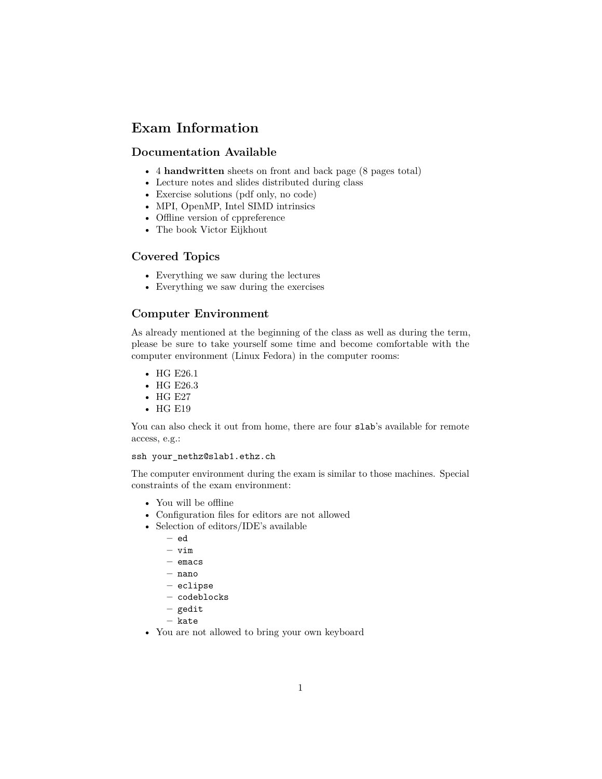# **Exam Information**

## **Documentation Available**

- 4 **handwritten** sheets on front and back page (8 pages total)
- Lecture notes and slides distributed during class
- Exercise solutions (pdf only, no code)
- MPI, OpenMP, Intel SIMD intrinsics
- Offline version of cppreference
- The [book](https://gitlab.ethz.ch/hpcse18/lecture/tree/master/exam/documentation/notes) Victor Eijkhout

### **Covered Topics**

- Everything we saw during the lectures
- Everything we saw during the exercises

# **Computer Environment**

As already mentioned at the beginning of the class as well as during the term, please be sure to take yourself some time and become comfortable with the computer environment (Linux Fedora) in the computer rooms:

- HG E26.1
- HG E26.3
- HG E27
- HG E19

You can also check it out from home, there are four slab's available for remote access, e.g.:

#### ssh your\_nethz@slab1.ethz.ch

The computer environment during the exam is similar to those machines. Special constraints of the exam environment:

- You will be offline
- Configuration files for editors are not allowed
- Selection of editors/IDE's available
	- **–** ed
	- **–** vim
	- **–** emacs
	- **–** nano
	- **–** eclipse
	- **–** codeblocks
	- **–** gedit
	- **–** kate
- You are not allowed to bring your own keyboard